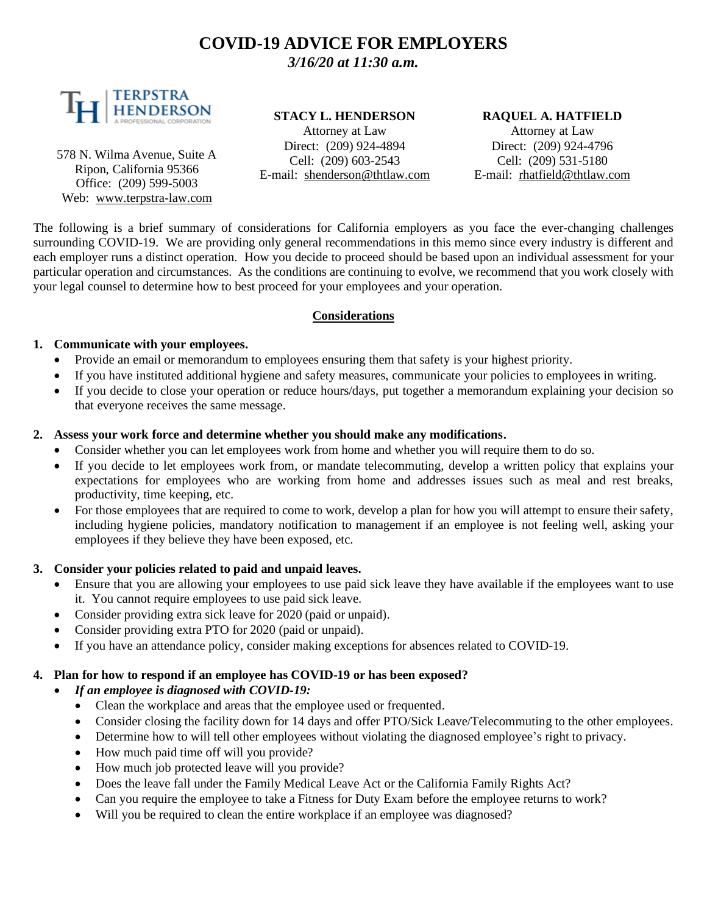# **COVID-19 ADVICE FOR EMPLOYERS** *3/16/20 at 11:30 a.m.*



578 N. Wilma Avenue, Suite A Ripon, California 95366 Office: (209) 599-5003 Web: [www.terpstra-law.com](http://www.terpstra-law.com/)

### **STACY L. HENDERSON**

Attorney at Law Direct: (209) 924-4894 Cell: (209) 603-2543 E-mail: [shenderson@thtlaw.com](mailto:shenderson@thtlaw.com)

#### **RAQUEL A. HATFIELD**

Attorney at Law Direct: (209) 924-4796 Cell: (209) 531-5180 E-mail: [rhatfield@thtlaw.com](mailto:rhatfield@thtlaw.com)

The following is a brief summary of considerations for California employers as you face the ever-changing challenges surrounding COVID-19. We are providing only general recommendations in this memo since every industry is different and each employer runs a distinct operation. How you decide to proceed should be based upon an individual assessment for your particular operation and circumstances. As the conditions are continuing to evolve, we recommend that you work closely with your legal counsel to determine how to best proceed for your employees and your operation.

### **Considerations**

#### **1. Communicate with your employees.**

- Provide an email or memorandum to employees ensuring them that safety is your highest priority.
- If you have instituted additional hygiene and safety measures, communicate your policies to employees in writing.
- If you decide to close your operation or reduce hours/days, put together a memorandum explaining your decision so that everyone receives the same message.

#### **2. Assess your work force and determine whether you should make any modifications.**

- Consider whether you can let employees work from home and whether you will require them to do so.
- If you decide to let employees work from, or mandate telecommuting, develop a written policy that explains your expectations for employees who are working from home and addresses issues such as meal and rest breaks, productivity, time keeping, etc.
- For those employees that are required to come to work, develop a plan for how you will attempt to ensure their safety, including hygiene policies, mandatory notification to management if an employee is not feeling well, asking your employees if they believe they have been exposed, etc.

### **3. Consider your policies related to paid and unpaid leaves.**

- Ensure that you are allowing your employees to use paid sick leave they have available if the employees want to use it. You cannot require employees to use paid sick leave.
- Consider providing extra sick leave for 2020 (paid or unpaid).
- Consider providing extra PTO for 2020 (paid or unpaid).
- If you have an attendance policy, consider making exceptions for absences related to COVID-19.

### **4. Plan for how to respond if an employee has COVID-19 or has been exposed?**

### • *If an employee is diagnosed with COVID-19:*

- Clean the workplace and areas that the employee used or frequented.
- Consider closing the facility down for 14 days and offer PTO/Sick Leave/Telecommuting to the other employees.
- Determine how to will tell other employees without violating the diagnosed employee's right to privacy.
- How much paid time off will you provide?
- How much job protected leave will you provide?
- Does the leave fall under the Family Medical Leave Act or the California Family Rights Act?
- Can you require the employee to take a Fitness for Duty Exam before the employee returns to work?
- Will you be required to clean the entire workplace if an employee was diagnosed?